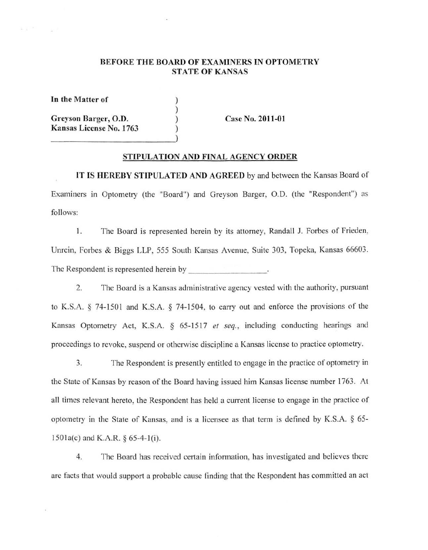### BEFORE THE BOARD OF EXAMINERS IN OPTOMETRY STATE OF KANSAS

) ) ) )

**In the Matter of** 

 $-21$ 

**Greyson Barger, 0.0. Kansas License No. 1763**  **Case No. 2011-01** 

#### **STIPULATION AND FINAL AGENCY ORDER**

**lT IS HEREBY STIPULATED AND AGREED** by and between the Kansas Board of Examiners in Optometry (the "Board") and Greyson Barger, 0.0. (the "Respondent") as follows:

I. The Board is represented herein by its attorney, Randall J. Forbes of Frieden, Unrein, Forbes & Biggs LLP, 555 South Kansas Avenue, Suite 303, Topeka, Kansas 66603. The Respondent is represented herein by  $\cdot$ 

2. The Board is a Kansas administrative agency vested with the authority, pursuant to K.S.A. § 74-1501 and K.S.A. § 74-1504, to carry out and enforce the provisions of the Kansas Optometry Act, K.S.A. § 65-1517 et seq., including conducting hearings and proceedings to revoke, suspend or otherwise discipline a Kansas license to practice optometry.

3. The Respondent is presently entitled to engage in the practice of optometry in the State of Kansas by reason of the Board having issued him Kansas license number 1763. At all times relevant hereto, the Respondent has held a current license to engage in the practice of optometry in the State of Kansas, and is a licensee as that term is defined by K.S.A. § 65- 1501a(c) and K.A.R. § 65-4-J(i).

4. The Board has received certain information, has investigated and believes there are facts that would support a probable cause finding that the Respondent has committed an act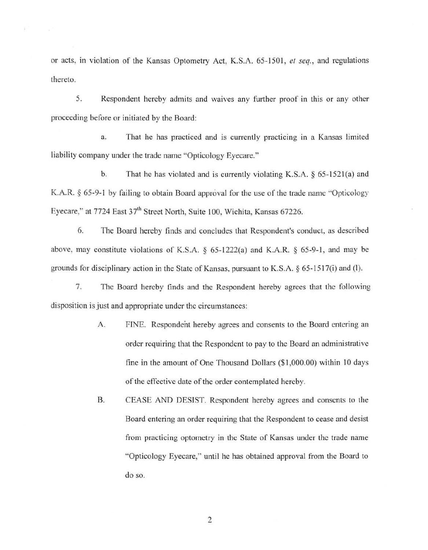or acts, in violation of the Kansas Optometry Act, K.S.A. 65-150 I, *et seq.,* and regulations thereto.

5. Respondent hereby admits and waives any further proof in this or any other proceeding before or initiated by the Board:

a. That he has practiced and is currently practicing in a Kansas limited liability company under the trade name "Opticology Eyecare."

b. That he has violated and is currently violating K.S.A.  $\S$  65-1521(a) and K.A.R. § 65-9-1 by failing to obtain Board approval for the use of the trade name "Opticology Eyecare," at 7724 East 37<sup>th</sup> Street North, Suite 100, Wichita, Kansas 67226.

6. The Board hereby finds and concludes that Respondent's conduct, as described above, may constitute violations of K.S.A.  $\S$  65-1222(a) and K.A.R.  $\S$  65-9-1, and may be grounds for disciplinary action in the State of Kansas, pursuant to K.S.A. § 65-1517(i) and (l).

7. The Board hereby finds and the Respondent hereby agrees that the following disposition is just and appropriate under the circumstances:

- A. FINE. Respondent hereby agrees and consents to the Board entering an order requiring that the Respondent to pay to the Board an administrative fine in the amount of One Thousand Dollars (\$ 1,000.00) within IO days of the effective date of the order contemplated hereby.
- B. CEASE AND DESIST. Respondent hereby agrees and consents to the Board entering an order requiring that the Respondent to cease and desist from practicing optometry in the State of Kansas under the trade name "Opticology Eyecare," until he has obtained approval from the Board to do so.

2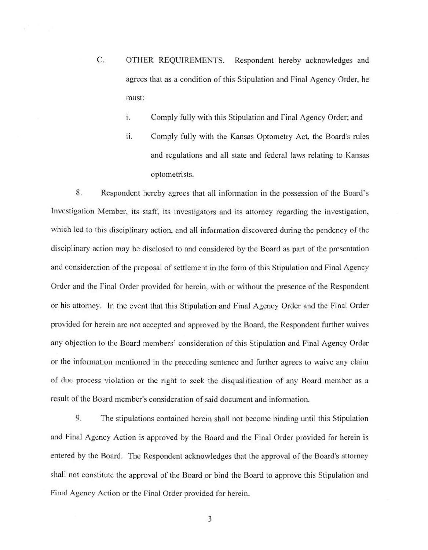- C. OTHER REQUJREMENTS. Respondent hereby acknowledges and agrees that as a condition of this Stipulation and Final Agency Order, he must:
	- i. Comply fully with this Stipulation and Final Agency Order; and
	- ii. Comply fully with the Kansas Optometry Act, the Board's rules and regulations and all state and federal laws relating to Kansas optometrists.

8. Respondent hereby agrees that all information in the possession of the Board 's Investigation Member, its staff, its investigators and its attorney regarding the investigation, which led to this disciplinary action, and all information discovered during the pendency of the disciplinary action may be disclosed to and considered by the Board as part of the presentation and consideration of the proposal of settlement in the form of this Stipulation and Final Agency Order and the Final Order provided for herein, with or without the presence of the Respondent or his attorney. In the event that this Stipulation and Final Agency Order and the Final Order provided for herein are not accepted and approved by the Board, the Respondent further waives any objection to the Board members' consideration of this Stipulation and Final Agency Order or the information mentioned in the preceding sentence and further agrees to waive any claim of due process violation or the right to seek the disqualification of any Board member as a result of the Board member's consideration of said document and information.

9. The stipulations contained herein shall not become binding until this Stipulation and Final Agency Action is approved by the Board and the Final Order provided for herein is entered by the Board. The Respondent acknowledges that the approval of the Board's attorney shall not constitute the approval of the Board or bind the Board to approve this Stipulation and Final Agency Action or the Final Order provided for herein.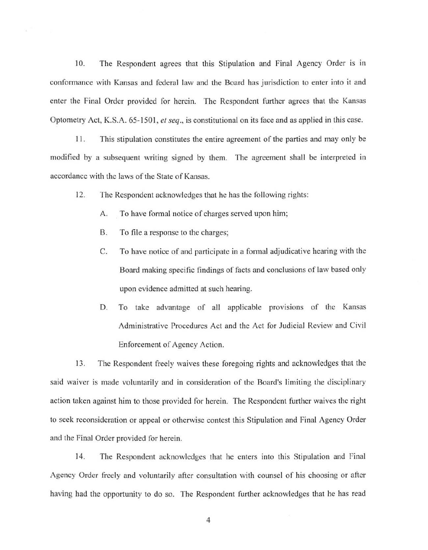10. The Respondent agrees that this Stipulation and Final Agency Order is in conformance with Kansas and federal law and the Board has jurisdiction to enter into it and enter the Final Order provided for herein. The Respondent further agrees that the Kansas Optometry Act, K.S.A. 65-150 I, *et seq.,* is constitutional on its face and as applied in this case.

11. This stipulation constitutes the entire agreement of the parties and may only be modified by a subsequent writing signed by them. The agreement shall be interpreted in accordance with the laws of the State of Kansas.

12. The Respondent acknowledges that he has the following rights:

- A. To have formal notice of charges served upon him;
- 8. To file a response to the charges;
- C. To have notice of and participate in a formal adjudicative hearing with the Board making specific findings of facts and conclusions of law based only upon evidence admitted at such hearing.
- D. To take advantage of all applicable provisions of the Kansas Administrative Procedures Act and the Act for Judicial Review and Civil Enforcement of Agency Action.

13. The Respondent freely waives these foregoing rights and acknowledges that the said waiver is made voluntarily and in consideration of the Board's limiting the disciplinary action taken against him to those provided for herein. The Respondent further waives the right to seek reconsideration or appeal or otherwise contest this Stipulation and Final Agency Order and the Final Order provided for herein.

14. The Respondent acknowledges that he enters into this Stipulation and final Agency Order freely and voluntarily after consultation with counsel of his choosing or after having had the opportunity to do so. The Respondent further acknowledges that he has read

4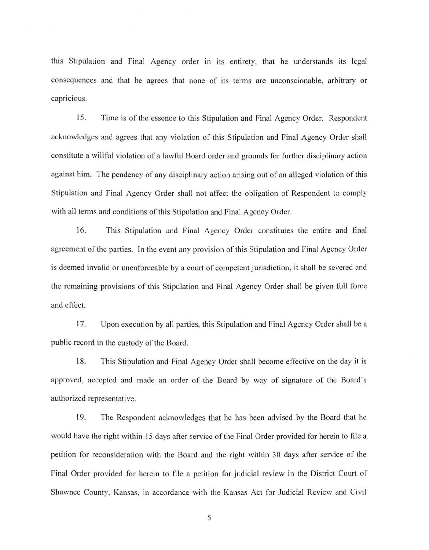this Stipulation and Final Agency order in its entirety, that he understands its legal consequences and that he agrees that none of its terms are unconscionable, arbitrary or capricious.

15. Time is of the essence to this Stipulation and Final Agency Order. Respondent acknowledges and agrees that any violation of this Stipulation and Final Agency Order shall constitute a willful violation of a lawful Board order and grounds for further disciplinary action against him. The pendency of any disciplinary action arising out of an alleged violation of this Stipulation and Final Agency Order shall not affect the obligation of Respondent to comply with all terms and conditions of this Stipulation and Final Agency Order.

16. This Stipulation and Final Agency Order constitutes the entire and final agreement of the parties. In the event any provision of this Stipulation and Final Agency Order is deemed invalid or unenforceable by a court of competent jurisdiction, it shall be severed and the remaining provisions of this Stipulation and Final Agency Order shall be given full force and effect.

17. Upon execution by all parties, this Stipulation and Final Agency Order shall be a public record in the custody of the Board.

18. This Stipulation and Final Agency Order shall become effective on the day it is approved, accepted and made an order of the Board by way of signature of the Board· s authorized representative.

19. The Respondent acknowledges that he has been advised by the Board that he would have the right within 15 days after service of the Final Order provided for herein to file a petition for reconsideration with the Board and the right within 30 days after service of the Final Order provided for herein to file a petition for judicial review in the District Court of Shawnee County, Kansas, in accordance with the Kansas Act for Judicial Review and Civil

5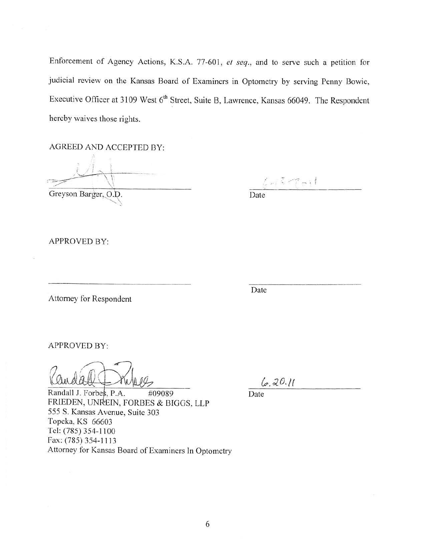Enforcement of Agency Actions, K.S.A. 77-601, *et seq.,* and to serve such a petition for judicial review on the Kansas Board of Examiners in Optometry by serving Penny Bowie, Executive Officer at 3109 West 6<sup>th</sup> Street, Suite B, Lawrence, Kansas 66049. The Respondent hereby waives those rights.

AGREED AND ACCEPTED BY:

Greyson Barger, O.D.

 $5 - 3 - 7 - 11$ 

Date

APPROVED BY:

Attorney for Respondent

Date

APPROVED BY:

Randall J. Forbes, P.A. #09089 Date FRIEDEN, UNREIN, FORBES & BIGGS, LLP 555 S. Kansas Avenue, Suite 303 Topeka, KS 66603 Tel: (785) 354-1100 Fax: (785) 354-1113 Attorney for Kansas Board of Examiners In Optometry

 $6.20.11$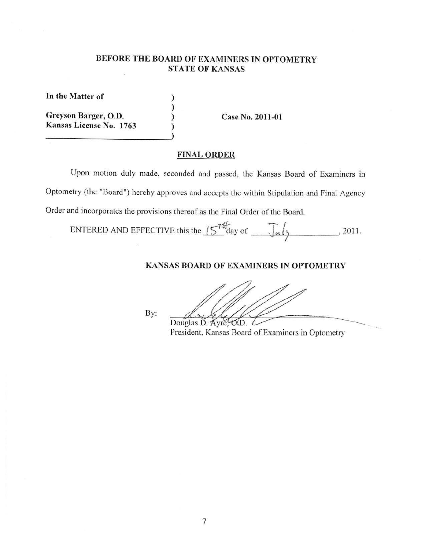# **BEFORE THE BOARD OF EXAMINERS IN OPTOMETRY STATE OF KANSAS**

) ) ) )

**In the Matter of** 

**Greyson Barger, 0.D. Kansas License No. 1763** 

**Case No. 2011 -01** 

## **FINAL ORDER**

Upon motion duly made, seconded and passed, the Kansas Board of Examiners in Optometry (the "Board") hereby approves and accepts the within Stipulation and Final Agency Order and incorporates the provisions thereof as the Final Order of the Board.

ENTERED AND EFFECTIVE this the  $15^{76}$  day of  $\overline{\phantom{1}}$   $\overline{\phantom{1}}$   $\overline{\phantom{1}}$   $\phantom{1}$   $\phantom{1}$ , 2011.

## **KANSAS BOARD OF EXAMINERS IN OPTOMETRY**

By:

Douglas D. Ayre, O.D.

President, Kansas Board of Examiners in Optometry